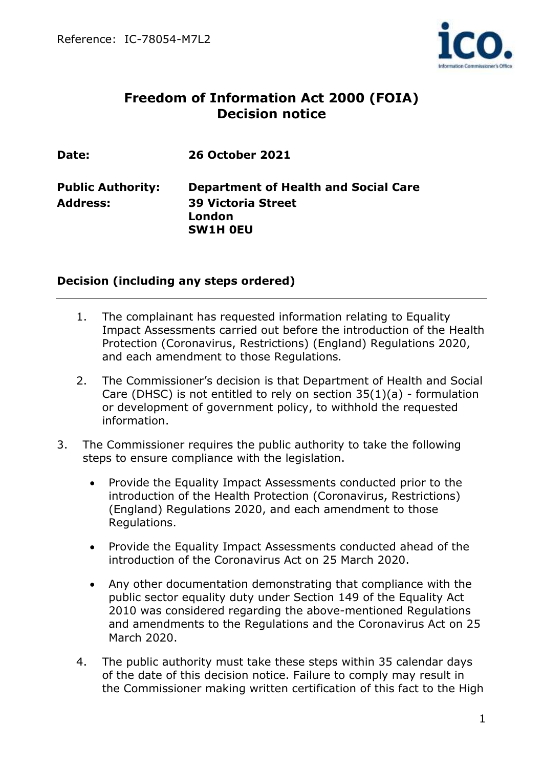

# **Freedom of Information Act 2000 (FOIA) Decision notice**

| Date:                    | <b>26 October 2021</b>                      |
|--------------------------|---------------------------------------------|
| <b>Public Authority:</b> | <b>Department of Health and Social Care</b> |
| <b>Address:</b>          | <b>39 Victoria Street</b>                   |
|                          | London                                      |
|                          | <b>SW1H OEU</b>                             |

### **Decision (including any steps ordered)**

- 1. The complainant has requested information relating to Equality Impact Assessments carried out before the introduction of the Health Protection (Coronavirus, Restrictions) (England) Regulations 2020, and each amendment to those Regulations*.*
- 2. The Commissioner's decision is that Department of Health and Social Care (DHSC) is not entitled to rely on section 35(1)(a) - formulation or development of government policy, to withhold the requested information.
- 3. The Commissioner requires the public authority to take the following steps to ensure compliance with the legislation.
	- Provide the Equality Impact Assessments conducted prior to the introduction of the Health Protection (Coronavirus, Restrictions) (England) Regulations 2020, and each amendment to those Regulations.
	- Provide the Equality Impact Assessments conducted ahead of the introduction of the Coronavirus Act on 25 March 2020.
	- Any other documentation demonstrating that compliance with the public sector equality duty under Section 149 of the Equality Act 2010 was considered regarding the above-mentioned Regulations and amendments to the Regulations and the Coronavirus Act on 25 March 2020.
	- 4. The public authority must take these steps within 35 calendar days of the date of this decision notice. Failure to comply may result in the Commissioner making written certification of this fact to the High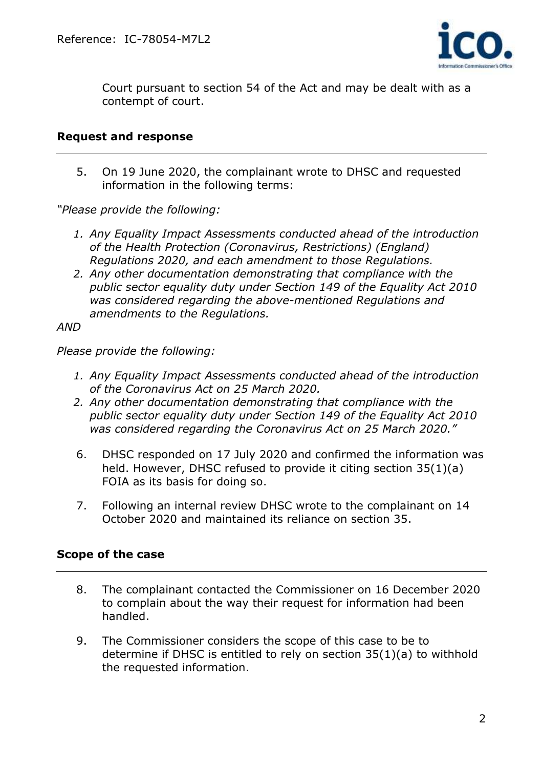

Court pursuant to section 54 of the Act and may be dealt with as a contempt of court.

#### **Request and response**

5. On 19 June 2020, the complainant wrote to DHSC and requested information in the following terms:

*"Please provide the following:*

- *1. Any Equality Impact Assessments conducted ahead of the introduction of the Health Protection (Coronavirus, Restrictions) (England) Regulations 2020, and each amendment to those Regulations.*
- *2. Any other documentation demonstrating that compliance with the public sector equality duty under Section 149 of the Equality Act 2010 was considered regarding the above-mentioned Regulations and amendments to the Regulations.*

*AND*

*Please provide the following:*

- *1. Any Equality Impact Assessments conducted ahead of the introduction of the Coronavirus Act on 25 March 2020.*
- *2. Any other documentation demonstrating that compliance with the public sector equality duty under Section 149 of the Equality Act 2010 was considered regarding the Coronavirus Act on 25 March 2020."*
- 6. DHSC responded on 17 July 2020 and confirmed the information was held. However, DHSC refused to provide it citing section 35(1)(a) FOIA as its basis for doing so.
- 7. Following an internal review DHSC wrote to the complainant on 14 October 2020 and maintained its reliance on section 35.

### **Scope of the case**

- 8. The complainant contacted the Commissioner on 16 December 2020 to complain about the way their request for information had been handled.
- 9. The Commissioner considers the scope of this case to be to determine if DHSC is entitled to rely on section 35(1)(a) to withhold the requested information.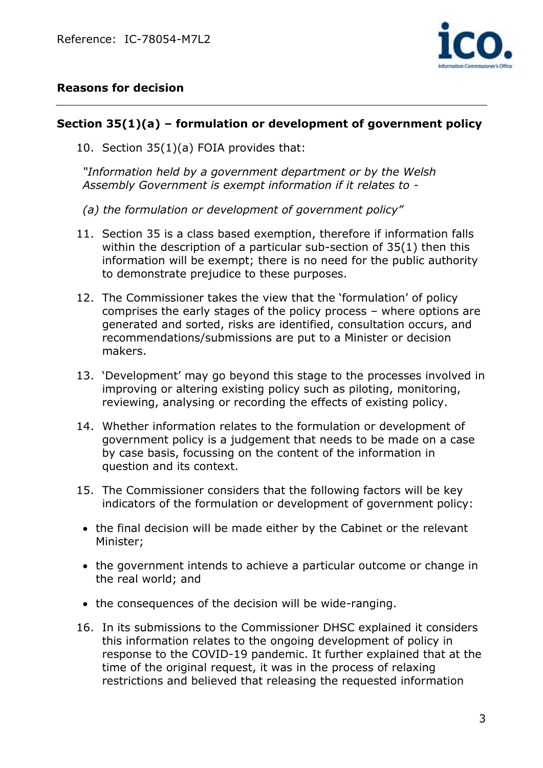

### **Reasons for decision**

### **Section 35(1)(a) – formulation or development of government policy**

10. Section 35(1)(a) FOIA provides that:

*"Information held by a government department or by the Welsh Assembly Government is exempt information if it relates to -*

- *(a) the formulation or development of government policy"*
- 11. Section 35 is a class based exemption, therefore if information falls within the description of a particular sub-section of 35(1) then this information will be exempt; there is no need for the public authority to demonstrate prejudice to these purposes.
- 12. The Commissioner takes the view that the 'formulation' of policy comprises the early stages of the policy process – where options are generated and sorted, risks are identified, consultation occurs, and recommendations/submissions are put to a Minister or decision makers.
- 13. 'Development' may go beyond this stage to the processes involved in improving or altering existing policy such as piloting, monitoring, reviewing, analysing or recording the effects of existing policy.
- 14. Whether information relates to the formulation or development of government policy is a judgement that needs to be made on a case by case basis, focussing on the content of the information in question and its context.
- 15. The Commissioner considers that the following factors will be key indicators of the formulation or development of government policy:
	- the final decision will be made either by the Cabinet or the relevant Minister;
	- the government intends to achieve a particular outcome or change in the real world; and
- the consequences of the decision will be wide-ranging.
- 16. In its submissions to the Commissioner DHSC explained it considers this information relates to the ongoing development of policy in response to the COVID-19 pandemic. It further explained that at the time of the original request, it was in the process of relaxing restrictions and believed that releasing the requested information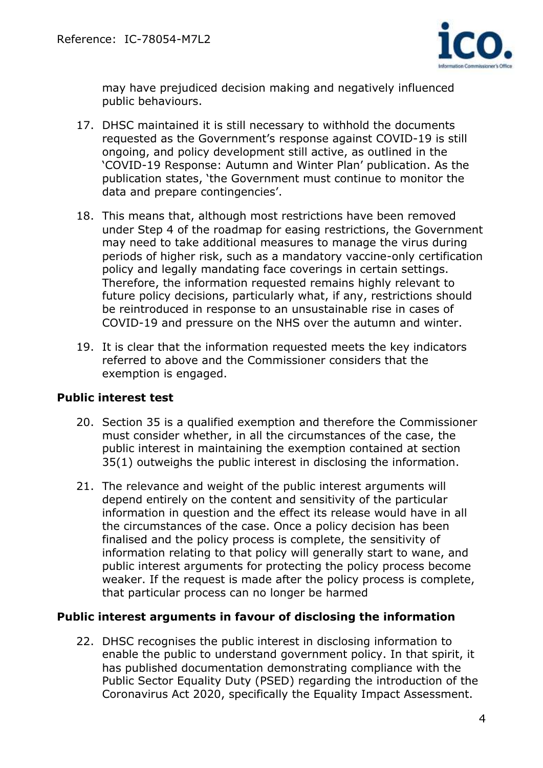

may have prejudiced decision making and negatively influenced public behaviours.

- 17. DHSC maintained it is still necessary to withhold the documents requested as the Government's response against COVID-19 is still ongoing, and policy development still active, as outlined in the 'COVID-19 Response: Autumn and Winter Plan' publication. As the publication states, 'the Government must continue to monitor the data and prepare contingencies'.
- 18. This means that, although most restrictions have been removed under Step 4 of the roadmap for easing restrictions, the Government may need to take additional measures to manage the virus during periods of higher risk, such as a mandatory vaccine-only certification policy and legally mandating face coverings in certain settings. Therefore, the information requested remains highly relevant to future policy decisions, particularly what, if any, restrictions should be reintroduced in response to an unsustainable rise in cases of COVID-19 and pressure on the NHS over the autumn and winter.
- 19. It is clear that the information requested meets the key indicators referred to above and the Commissioner considers that the exemption is engaged.

### **Public interest test**

- 20. Section 35 is a qualified exemption and therefore the Commissioner must consider whether, in all the circumstances of the case, the public interest in maintaining the exemption contained at section 35(1) outweighs the public interest in disclosing the information.
- 21. The relevance and weight of the public interest arguments will depend entirely on the content and sensitivity of the particular information in question and the effect its release would have in all the circumstances of the case. Once a policy decision has been finalised and the policy process is complete, the sensitivity of information relating to that policy will generally start to wane, and public interest arguments for protecting the policy process become weaker. If the request is made after the policy process is complete, that particular process can no longer be harmed

### **Public interest arguments in favour of disclosing the information**

22. DHSC recognises the public interest in disclosing information to enable the public to understand government policy. In that spirit, it has published documentation demonstrating compliance with the Public Sector Equality Duty (PSED) regarding the introduction of the Coronavirus Act 2020, specifically the Equality Impact Assessment.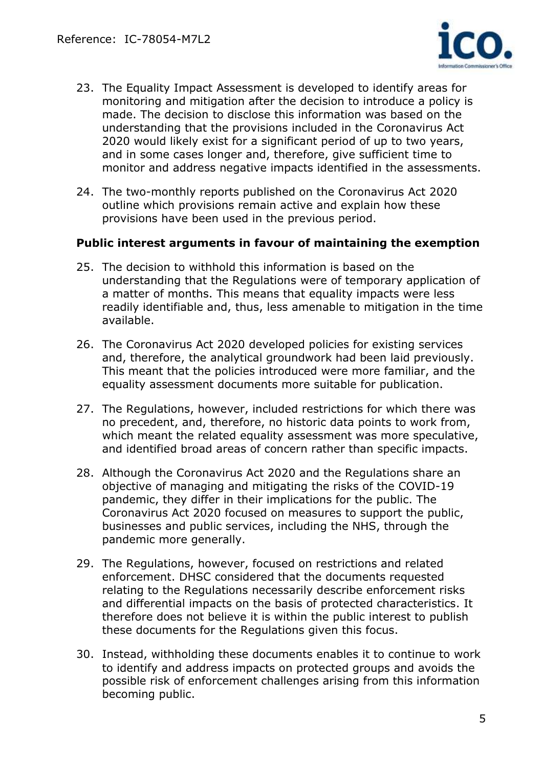

- 23. The Equality Impact Assessment is developed to identify areas for monitoring and mitigation after the decision to introduce a policy is made. The decision to disclose this information was based on the understanding that the provisions included in the Coronavirus Act 2020 would likely exist for a significant period of up to two years, and in some cases longer and, therefore, give sufficient time to monitor and address negative impacts identified in the assessments.
- 24. The two-monthly reports published on the Coronavirus Act 2020 outline which provisions remain active and explain how these provisions have been used in the previous period.

#### **Public interest arguments in favour of maintaining the exemption**

- 25. The decision to withhold this information is based on the understanding that the Regulations were of temporary application of a matter of months. This means that equality impacts were less readily identifiable and, thus, less amenable to mitigation in the time available.
- 26. The Coronavirus Act 2020 developed policies for existing services and, therefore, the analytical groundwork had been laid previously. This meant that the policies introduced were more familiar, and the equality assessment documents more suitable for publication.
- 27. The Regulations, however, included restrictions for which there was no precedent, and, therefore, no historic data points to work from, which meant the related equality assessment was more speculative, and identified broad areas of concern rather than specific impacts.
- 28. Although the Coronavirus Act 2020 and the Regulations share an objective of managing and mitigating the risks of the COVID-19 pandemic, they differ in their implications for the public. The Coronavirus Act 2020 focused on measures to support the public, businesses and public services, including the NHS, through the pandemic more generally.
- 29. The Regulations, however, focused on restrictions and related enforcement. DHSC considered that the documents requested relating to the Regulations necessarily describe enforcement risks and differential impacts on the basis of protected characteristics. It therefore does not believe it is within the public interest to publish these documents for the Regulations given this focus.
- 30. Instead, withholding these documents enables it to continue to work to identify and address impacts on protected groups and avoids the possible risk of enforcement challenges arising from this information becoming public.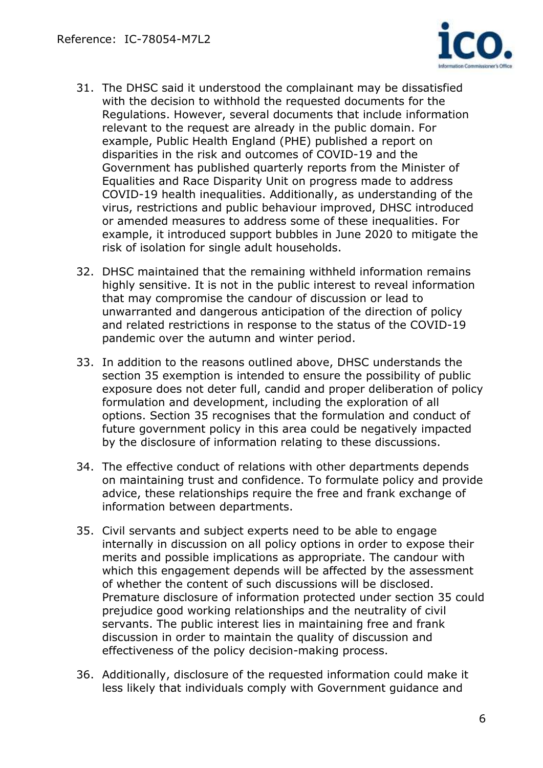

- 31. The DHSC said it understood the complainant may be dissatisfied with the decision to withhold the requested documents for the Regulations. However, several documents that include information relevant to the request are already in the public domain. For example, Public Health England (PHE) published a report on disparities in the risk and outcomes of COVID-19 and the Government has published quarterly reports from the Minister of Equalities and Race Disparity Unit on progress made to address COVID-19 health inequalities. Additionally, as understanding of the virus, restrictions and public behaviour improved, DHSC introduced or amended measures to address some of these inequalities. For example, it introduced support bubbles in June 2020 to mitigate the risk of isolation for single adult households.
- 32. DHSC maintained that the remaining withheld information remains highly sensitive. It is not in the public interest to reveal information that may compromise the candour of discussion or lead to unwarranted and dangerous anticipation of the direction of policy and related restrictions in response to the status of the COVID-19 pandemic over the autumn and winter period.
- 33. In addition to the reasons outlined above, DHSC understands the section 35 exemption is intended to ensure the possibility of public exposure does not deter full, candid and proper deliberation of policy formulation and development, including the exploration of all options. Section 35 recognises that the formulation and conduct of future government policy in this area could be negatively impacted by the disclosure of information relating to these discussions.
- 34. The effective conduct of relations with other departments depends on maintaining trust and confidence. To formulate policy and provide advice, these relationships require the free and frank exchange of information between departments.
- 35. Civil servants and subject experts need to be able to engage internally in discussion on all policy options in order to expose their merits and possible implications as appropriate. The candour with which this engagement depends will be affected by the assessment of whether the content of such discussions will be disclosed. Premature disclosure of information protected under section 35 could prejudice good working relationships and the neutrality of civil servants. The public interest lies in maintaining free and frank discussion in order to maintain the quality of discussion and effectiveness of the policy decision-making process.
- 36. Additionally, disclosure of the requested information could make it less likely that individuals comply with Government guidance and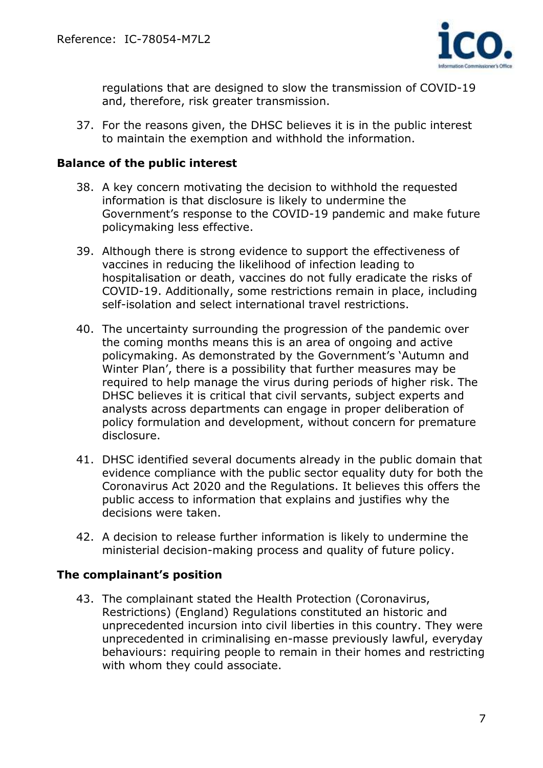

regulations that are designed to slow the transmission of COVID-19 and, therefore, risk greater transmission.

37. For the reasons given, the DHSC believes it is in the public interest to maintain the exemption and withhold the information.

#### **Balance of the public interest**

- 38. A key concern motivating the decision to withhold the requested information is that disclosure is likely to undermine the Government's response to the COVID-19 pandemic and make future policymaking less effective.
- 39. Although there is strong evidence to support the effectiveness of vaccines in reducing the likelihood of infection leading to hospitalisation or death, vaccines do not fully eradicate the risks of COVID-19. Additionally, some restrictions remain in place, including self-isolation and select international travel restrictions.
- 40. The uncertainty surrounding the progression of the pandemic over the coming months means this is an area of ongoing and active policymaking. As demonstrated by the Government's 'Autumn and Winter Plan', there is a possibility that further measures may be required to help manage the virus during periods of higher risk. The DHSC believes it is critical that civil servants, subject experts and analysts across departments can engage in proper deliberation of policy formulation and development, without concern for premature disclosure.
- 41. DHSC identified several documents already in the public domain that evidence compliance with the public sector equality duty for both the Coronavirus Act 2020 and the Regulations. It believes this offers the public access to information that explains and justifies why the decisions were taken.
- 42. A decision to release further information is likely to undermine the ministerial decision-making process and quality of future policy.

### **The complainant's position**

43. The complainant stated the Health Protection (Coronavirus, Restrictions) (England) Regulations constituted an historic and unprecedented incursion into civil liberties in this country. They were unprecedented in criminalising en-masse previously lawful, everyday behaviours: requiring people to remain in their homes and restricting with whom they could associate.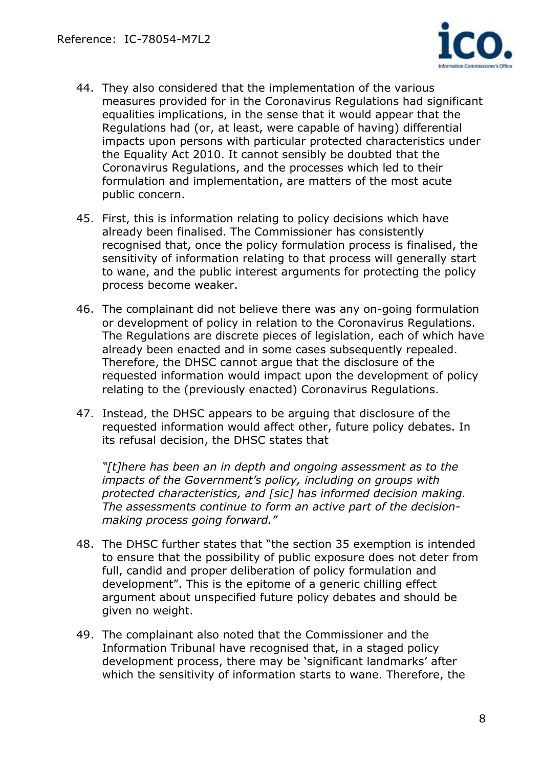

- 44. They also considered that the implementation of the various measures provided for in the Coronavirus Regulations had significant equalities implications, in the sense that it would appear that the Regulations had (or, at least, were capable of having) differential impacts upon persons with particular protected characteristics under the Equality Act 2010. It cannot sensibly be doubted that the Coronavirus Regulations, and the processes which led to their formulation and implementation, are matters of the most acute public concern.
- 45. First, this is information relating to policy decisions which have already been finalised. The Commissioner has consistently recognised that, once the policy formulation process is finalised, the sensitivity of information relating to that process will generally start to wane, and the public interest arguments for protecting the policy process become weaker.
- 46. The complainant did not believe there was any on-going formulation or development of policy in relation to the Coronavirus Regulations. The Regulations are discrete pieces of legislation, each of which have already been enacted and in some cases subsequently repealed. Therefore, the DHSC cannot argue that the disclosure of the requested information would impact upon the development of policy relating to the (previously enacted) Coronavirus Regulations.
- 47. Instead, the DHSC appears to be arguing that disclosure of the requested information would affect other, future policy debates. In its refusal decision, the DHSC states that

*"[t]here has been an in depth and ongoing assessment as to the impacts of the Government's policy, including on groups with protected characteristics, and [sic] has informed decision making. The assessments continue to form an active part of the decisionmaking process going forward."*

- 48. The DHSC further states that "the section 35 exemption is intended to ensure that the possibility of public exposure does not deter from full, candid and proper deliberation of policy formulation and development". This is the epitome of a generic chilling effect argument about unspecified future policy debates and should be given no weight.
- 49. The complainant also noted that the Commissioner and the Information Tribunal have recognised that, in a staged policy development process, there may be 'significant landmarks' after which the sensitivity of information starts to wane. Therefore, the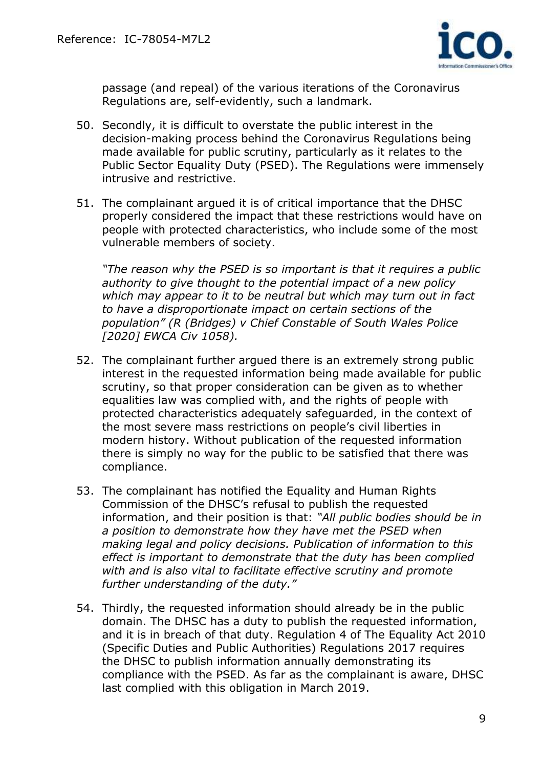

passage (and repeal) of the various iterations of the Coronavirus Regulations are, self-evidently, such a landmark.

- 50. Secondly, it is difficult to overstate the public interest in the decision-making process behind the Coronavirus Regulations being made available for public scrutiny, particularly as it relates to the Public Sector Equality Duty (PSED). The Regulations were immensely intrusive and restrictive.
- 51. The complainant argued it is of critical importance that the DHSC properly considered the impact that these restrictions would have on people with protected characteristics, who include some of the most vulnerable members of society.

*"The reason why the PSED is so important is that it requires a public authority to give thought to the potential impact of a new policy which may appear to it to be neutral but which may turn out in fact to have a disproportionate impact on certain sections of the population" (R (Bridges) v Chief Constable of South Wales Police [2020] EWCA Civ 1058).* 

- 52. The complainant further argued there is an extremely strong public interest in the requested information being made available for public scrutiny, so that proper consideration can be given as to whether equalities law was complied with, and the rights of people with protected characteristics adequately safeguarded, in the context of the most severe mass restrictions on people's civil liberties in modern history. Without publication of the requested information there is simply no way for the public to be satisfied that there was compliance.
- 53. The complainant has notified the Equality and Human Rights Commission of the DHSC's refusal to publish the requested information, and their position is that: *"All public bodies should be in a position to demonstrate how they have met the PSED when making legal and policy decisions. Publication of information to this effect is important to demonstrate that the duty has been complied with and is also vital to facilitate effective scrutiny and promote further understanding of the duty."*
- 54. Thirdly, the requested information should already be in the public domain. The DHSC has a duty to publish the requested information, and it is in breach of that duty. Regulation 4 of The Equality Act 2010 (Specific Duties and Public Authorities) Regulations 2017 requires the DHSC to publish information annually demonstrating its compliance with the PSED. As far as the complainant is aware, DHSC last complied with this obligation in March 2019.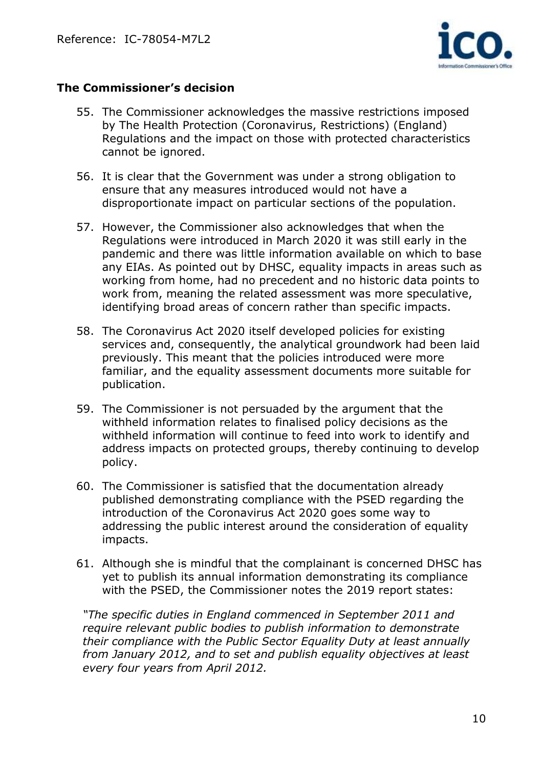

### **The Commissioner's decision**

- 55. The Commissioner acknowledges the massive restrictions imposed by The Health Protection (Coronavirus, Restrictions) (England) Regulations and the impact on those with protected characteristics cannot be ignored.
- 56. It is clear that the Government was under a strong obligation to ensure that any measures introduced would not have a disproportionate impact on particular sections of the population.
- 57. However, the Commissioner also acknowledges that when the Regulations were introduced in March 2020 it was still early in the pandemic and there was little information available on which to base any EIAs. As pointed out by DHSC, equality impacts in areas such as working from home, had no precedent and no historic data points to work from, meaning the related assessment was more speculative, identifying broad areas of concern rather than specific impacts.
- 58. The Coronavirus Act 2020 itself developed policies for existing services and, consequently, the analytical groundwork had been laid previously. This meant that the policies introduced were more familiar, and the equality assessment documents more suitable for publication.
- 59. The Commissioner is not persuaded by the argument that the withheld information relates to finalised policy decisions as the withheld information will continue to feed into work to identify and address impacts on protected groups, thereby continuing to develop policy.
- 60. The Commissioner is satisfied that the documentation already published demonstrating compliance with the PSED regarding the introduction of the Coronavirus Act 2020 goes some way to addressing the public interest around the consideration of equality impacts.
- 61. Although she is mindful that the complainant is concerned DHSC has yet to publish its annual information demonstrating its compliance with the PSED, the Commissioner notes the 2019 report states:

*"The specific duties in England commenced in September 2011 and require relevant public bodies to publish information to demonstrate their compliance with the Public Sector Equality Duty at least annually from January 2012, and to set and publish equality objectives at least every four years from April 2012.*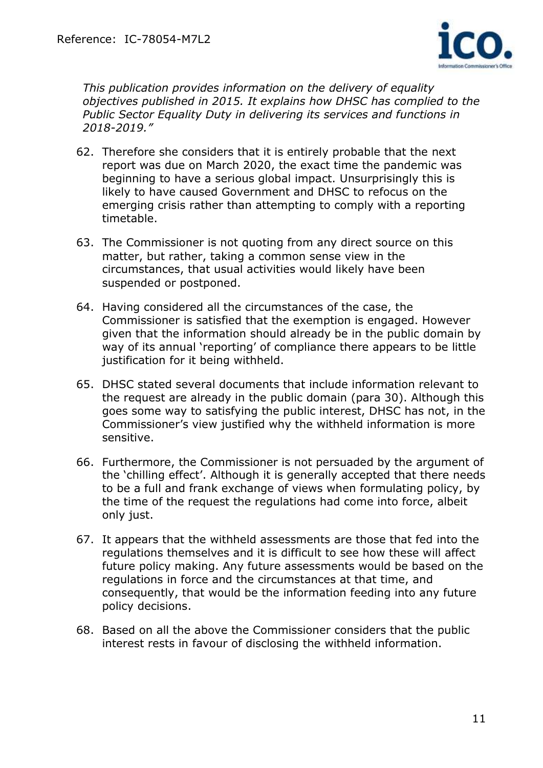

*This publication provides information on the delivery of equality objectives published in 2015. It explains how DHSC has complied to the Public Sector Equality Duty in delivering its services and functions in 2018-2019."*

- 62. Therefore she considers that it is entirely probable that the next report was due on March 2020, the exact time the pandemic was beginning to have a serious global impact. Unsurprisingly this is likely to have caused Government and DHSC to refocus on the emerging crisis rather than attempting to comply with a reporting timetable.
- 63. The Commissioner is not quoting from any direct source on this matter, but rather, taking a common sense view in the circumstances, that usual activities would likely have been suspended or postponed.
- 64. Having considered all the circumstances of the case, the Commissioner is satisfied that the exemption is engaged. However given that the information should already be in the public domain by way of its annual 'reporting' of compliance there appears to be little justification for it being withheld.
- 65. DHSC stated several documents that include information relevant to the request are already in the public domain (para 30). Although this goes some way to satisfying the public interest, DHSC has not, in the Commissioner's view justified why the withheld information is more sensitive.
- 66. Furthermore, the Commissioner is not persuaded by the argument of the 'chilling effect'. Although it is generally accepted that there needs to be a full and frank exchange of views when formulating policy, by the time of the request the regulations had come into force, albeit only just.
- 67. It appears that the withheld assessments are those that fed into the regulations themselves and it is difficult to see how these will affect future policy making. Any future assessments would be based on the regulations in force and the circumstances at that time, and consequently, that would be the information feeding into any future policy decisions.
- 68. Based on all the above the Commissioner considers that the public interest rests in favour of disclosing the withheld information.